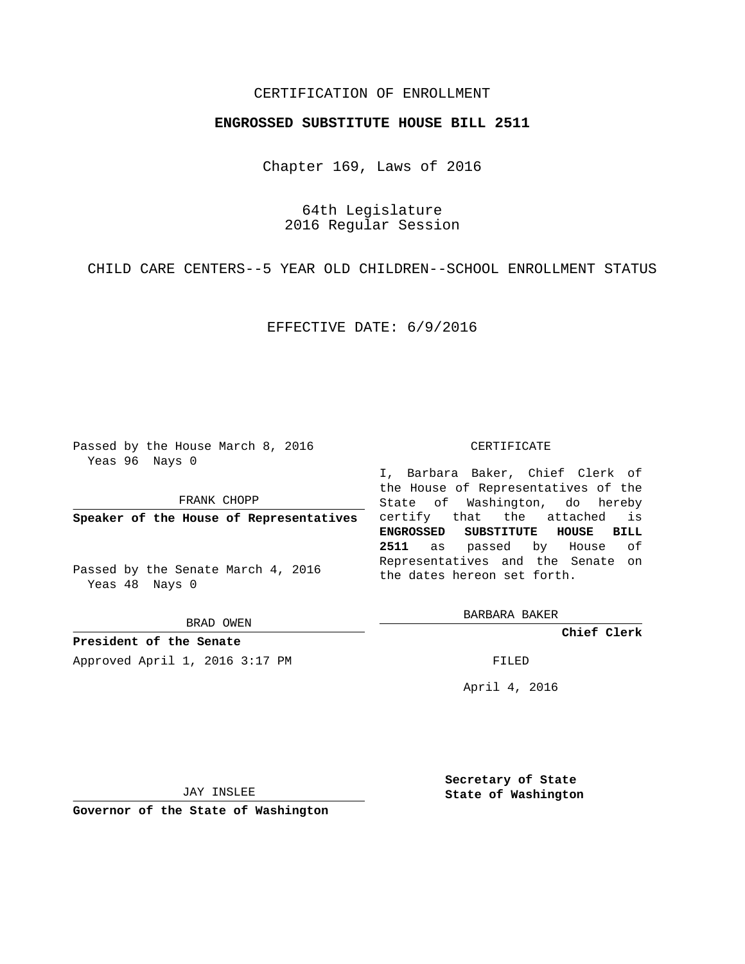## CERTIFICATION OF ENROLLMENT

## **ENGROSSED SUBSTITUTE HOUSE BILL 2511**

Chapter 169, Laws of 2016

64th Legislature 2016 Regular Session

CHILD CARE CENTERS--5 YEAR OLD CHILDREN--SCHOOL ENROLLMENT STATUS

EFFECTIVE DATE: 6/9/2016

Passed by the House March 8, 2016 Yeas 96 Nays 0

FRANK CHOPP

**Speaker of the House of Representatives**

Passed by the Senate March 4, 2016 Yeas 48 Nays 0

BRAD OWEN

**President of the Senate** Approved April 1, 2016 3:17 PM FILED

#### CERTIFICATE

I, Barbara Baker, Chief Clerk of the House of Representatives of the State of Washington, do hereby certify that the attached is **ENGROSSED SUBSTITUTE HOUSE BILL 2511** as passed by House of Representatives and the Senate on the dates hereon set forth.

BARBARA BAKER

**Chief Clerk**

April 4, 2016

JAY INSLEE

**Governor of the State of Washington**

**Secretary of State State of Washington**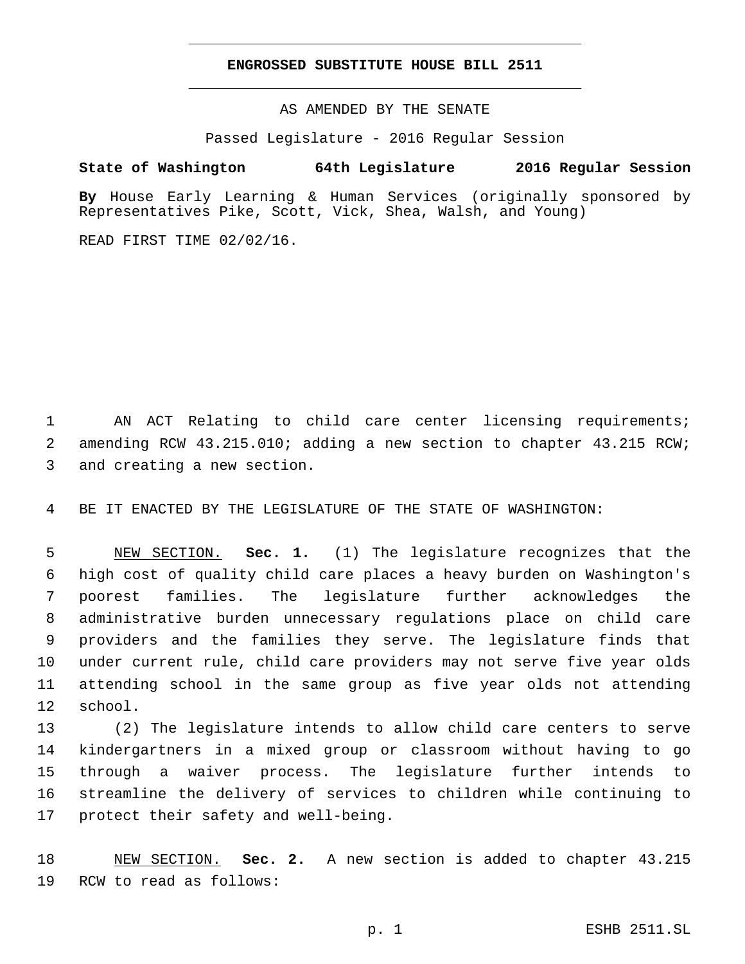## **ENGROSSED SUBSTITUTE HOUSE BILL 2511**

AS AMENDED BY THE SENATE

Passed Legislature - 2016 Regular Session

# **State of Washington 64th Legislature 2016 Regular Session**

**By** House Early Learning & Human Services (originally sponsored by Representatives Pike, Scott, Vick, Shea, Walsh, and Young)

READ FIRST TIME 02/02/16.

1 AN ACT Relating to child care center licensing requirements; 2 amending RCW 43.215.010; adding a new section to chapter 43.215 RCW; 3 and creating a new section.

4 BE IT ENACTED BY THE LEGISLATURE OF THE STATE OF WASHINGTON:

 NEW SECTION. **Sec. 1.** (1) The legislature recognizes that the high cost of quality child care places a heavy burden on Washington's poorest families. The legislature further acknowledges the administrative burden unnecessary regulations place on child care providers and the families they serve. The legislature finds that under current rule, child care providers may not serve five year olds attending school in the same group as five year olds not attending 12 school.

 (2) The legislature intends to allow child care centers to serve kindergartners in a mixed group or classroom without having to go through a waiver process. The legislature further intends to streamline the delivery of services to children while continuing to 17 protect their safety and well-being.

18 NEW SECTION. **Sec. 2.** A new section is added to chapter 43.215 19 RCW to read as follows: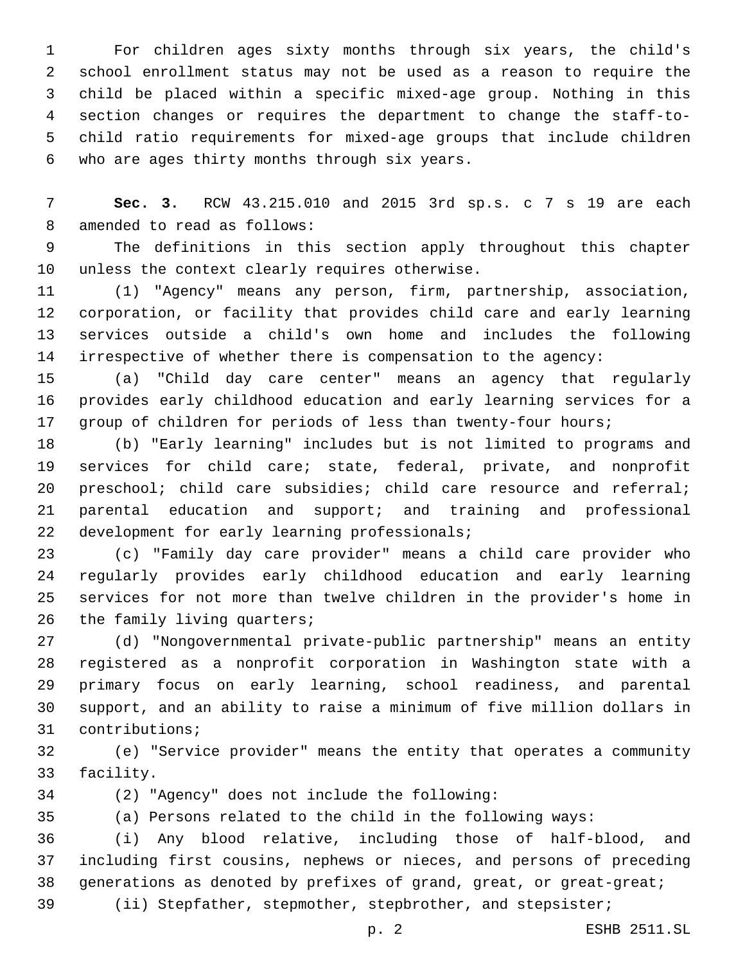For children ages sixty months through six years, the child's school enrollment status may not be used as a reason to require the child be placed within a specific mixed-age group. Nothing in this section changes or requires the department to change the staff-to- child ratio requirements for mixed-age groups that include children 6 who are ages thirty months through six years.

 **Sec. 3.** RCW 43.215.010 and 2015 3rd sp.s. c 7 s 19 are each 8 amended to read as follows:

 The definitions in this section apply throughout this chapter 10 unless the context clearly requires otherwise.

 (1) "Agency" means any person, firm, partnership, association, corporation, or facility that provides child care and early learning services outside a child's own home and includes the following irrespective of whether there is compensation to the agency:

 (a) "Child day care center" means an agency that regularly provides early childhood education and early learning services for a group of children for periods of less than twenty-four hours;

 (b) "Early learning" includes but is not limited to programs and services for child care; state, federal, private, and nonprofit 20 preschool; child care subsidies; child care resource and referral; parental education and support; and training and professional 22 development for early learning professionals;

 (c) "Family day care provider" means a child care provider who regularly provides early childhood education and early learning services for not more than twelve children in the provider's home in 26 the family living quarters;

 (d) "Nongovernmental private-public partnership" means an entity registered as a nonprofit corporation in Washington state with a primary focus on early learning, school readiness, and parental support, and an ability to raise a minimum of five million dollars in 31 contributions;

 (e) "Service provider" means the entity that operates a community 33 facility.

(2) "Agency" does not include the following:34

(a) Persons related to the child in the following ways:

 (i) Any blood relative, including those of half-blood, and including first cousins, nephews or nieces, and persons of preceding generations as denoted by prefixes of grand, great, or great-great;

(ii) Stepfather, stepmother, stepbrother, and stepsister;

p. 2 ESHB 2511.SL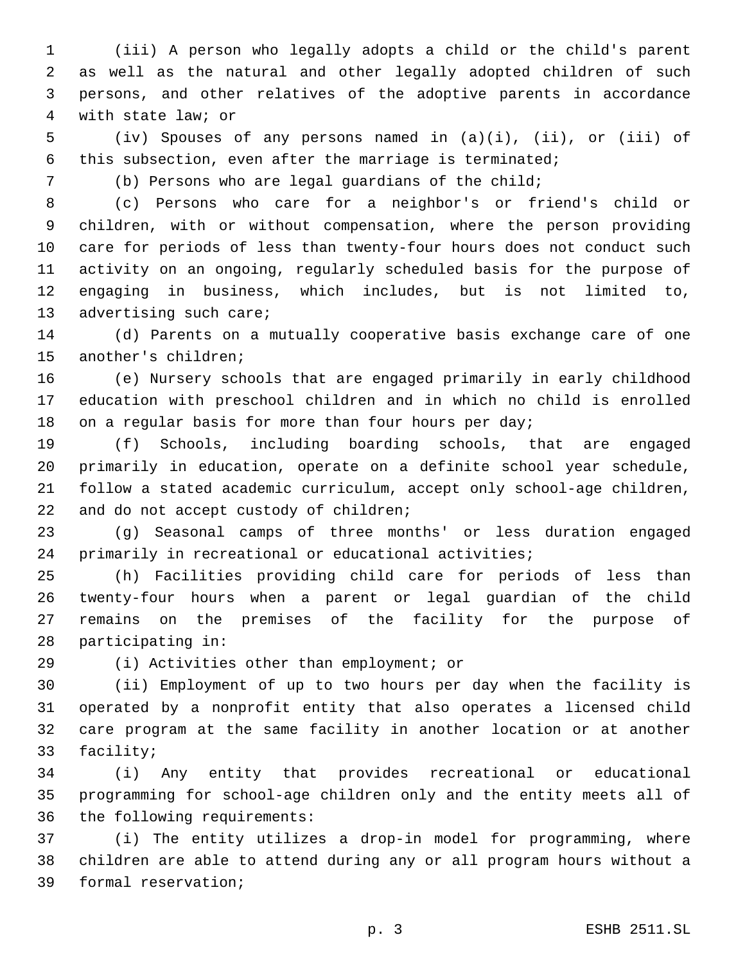(iii) A person who legally adopts a child or the child's parent as well as the natural and other legally adopted children of such persons, and other relatives of the adoptive parents in accordance 4 with state law; or

 (iv) Spouses of any persons named in (a)(i), (ii), or (iii) of this subsection, even after the marriage is terminated;

(b) Persons who are legal guardians of the child;

 (c) Persons who care for a neighbor's or friend's child or children, with or without compensation, where the person providing care for periods of less than twenty-four hours does not conduct such activity on an ongoing, regularly scheduled basis for the purpose of engaging in business, which includes, but is not limited to, 13 advertising such care;

 (d) Parents on a mutually cooperative basis exchange care of one 15 another's children;

 (e) Nursery schools that are engaged primarily in early childhood education with preschool children and in which no child is enrolled 18 on a regular basis for more than four hours per day;

 (f) Schools, including boarding schools, that are engaged primarily in education, operate on a definite school year schedule, follow a stated academic curriculum, accept only school-age children, 22 and do not accept custody of children;

 (g) Seasonal camps of three months' or less duration engaged primarily in recreational or educational activities;

 (h) Facilities providing child care for periods of less than twenty-four hours when a parent or legal guardian of the child remains on the premises of the facility for the purpose of 28 participating in:

29 (i) Activities other than employment; or

 (ii) Employment of up to two hours per day when the facility is operated by a nonprofit entity that also operates a licensed child care program at the same facility in another location or at another 33 facility;

 (i) Any entity that provides recreational or educational programming for school-age children only and the entity meets all of 36 the following requirements:

 (i) The entity utilizes a drop-in model for programming, where children are able to attend during any or all program hours without a 39 formal reservation;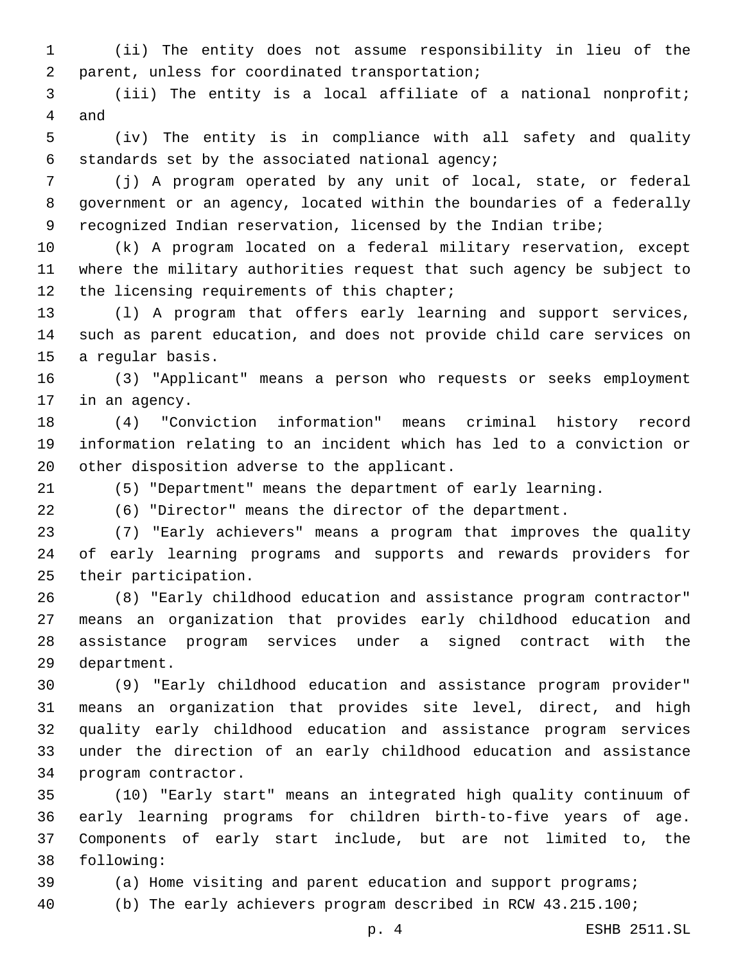(ii) The entity does not assume responsibility in lieu of the 2 parent, unless for coordinated transportation;

 (iii) The entity is a local affiliate of a national nonprofit; 4 and

 (iv) The entity is in compliance with all safety and quality 6 standards set by the associated national agency;

 (j) A program operated by any unit of local, state, or federal government or an agency, located within the boundaries of a federally 9 recognized Indian reservation, licensed by the Indian tribe;

 (k) A program located on a federal military reservation, except where the military authorities request that such agency be subject to 12 the licensing requirements of this chapter;

 (l) A program that offers early learning and support services, such as parent education, and does not provide child care services on 15 a regular basis.

 (3) "Applicant" means a person who requests or seeks employment 17 in an agency.

 (4) "Conviction information" means criminal history record information relating to an incident which has led to a conviction or 20 other disposition adverse to the applicant.

(5) "Department" means the department of early learning.

(6) "Director" means the director of the department.

 (7) "Early achievers" means a program that improves the quality of early learning programs and supports and rewards providers for 25 their participation.

 (8) "Early childhood education and assistance program contractor" means an organization that provides early childhood education and assistance program services under a signed contract with the 29 department.

 (9) "Early childhood education and assistance program provider" means an organization that provides site level, direct, and high quality early childhood education and assistance program services under the direction of an early childhood education and assistance 34 program contractor.

 (10) "Early start" means an integrated high quality continuum of early learning programs for children birth-to-five years of age. Components of early start include, but are not limited to, the 38 following:

(a) Home visiting and parent education and support programs;

(b) The early achievers program described in RCW 43.215.100;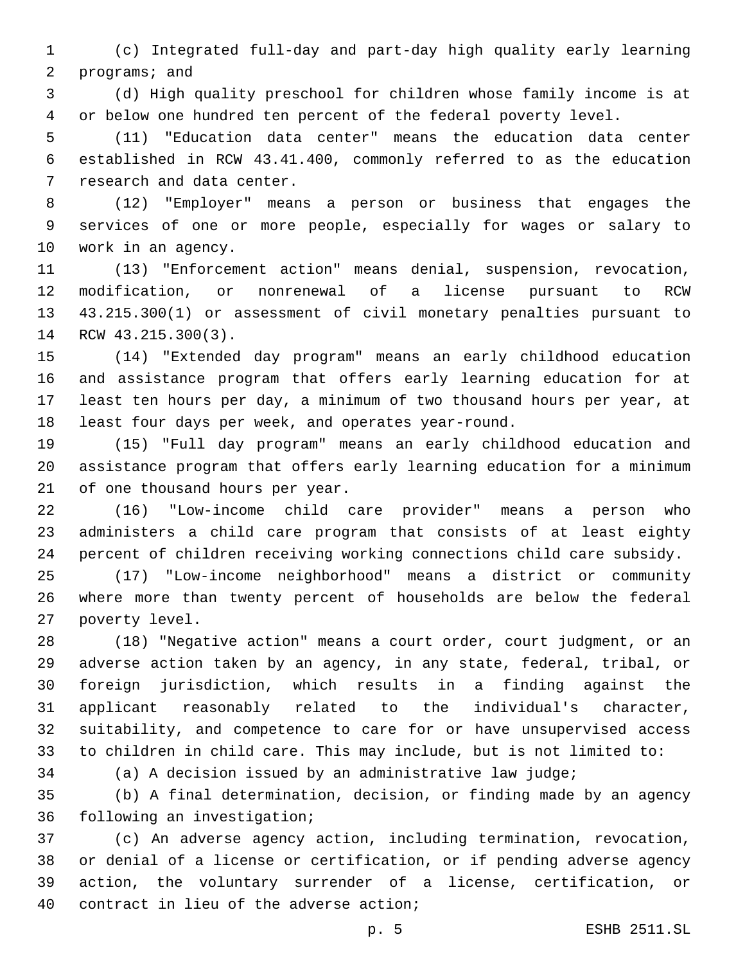(c) Integrated full-day and part-day high quality early learning 2 programs; and

 (d) High quality preschool for children whose family income is at or below one hundred ten percent of the federal poverty level.

 (11) "Education data center" means the education data center established in RCW 43.41.400, commonly referred to as the education 7 research and data center.

 (12) "Employer" means a person or business that engages the services of one or more people, especially for wages or salary to 10 work in an agency.

 (13) "Enforcement action" means denial, suspension, revocation, modification, or nonrenewal of a license pursuant to RCW 43.215.300(1) or assessment of civil monetary penalties pursuant to 14 RCW 43.215.300(3).

 (14) "Extended day program" means an early childhood education and assistance program that offers early learning education for at least ten hours per day, a minimum of two thousand hours per year, at least four days per week, and operates year-round.

 (15) "Full day program" means an early childhood education and assistance program that offers early learning education for a minimum 21 of one thousand hours per year.

 (16) "Low-income child care provider" means a person who administers a child care program that consists of at least eighty percent of children receiving working connections child care subsidy.

 (17) "Low-income neighborhood" means a district or community where more than twenty percent of households are below the federal 27 poverty level.

 (18) "Negative action" means a court order, court judgment, or an adverse action taken by an agency, in any state, federal, tribal, or foreign jurisdiction, which results in a finding against the applicant reasonably related to the individual's character, suitability, and competence to care for or have unsupervised access to children in child care. This may include, but is not limited to:

(a) A decision issued by an administrative law judge;

 (b) A final determination, decision, or finding made by an agency 36 following an investigation;

 (c) An adverse agency action, including termination, revocation, or denial of a license or certification, or if pending adverse agency action, the voluntary surrender of a license, certification, or 40 contract in lieu of the adverse action;